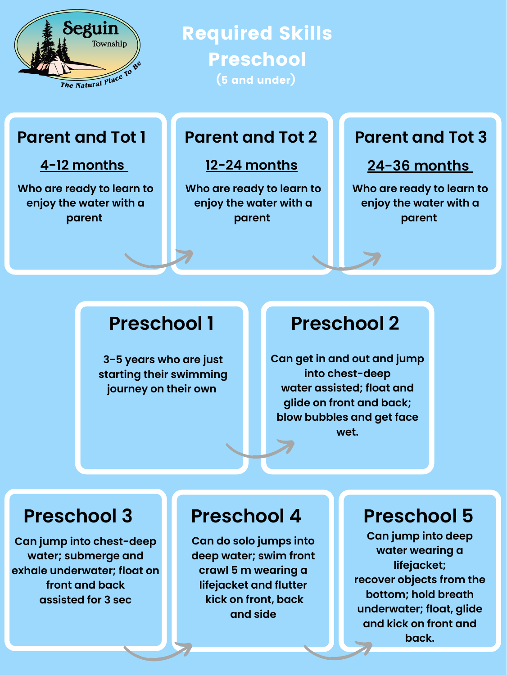**Can get in and out and jump into chest-deep water assisted; float and glide on front and back; blow bubbles and get face wet.**

**Can jump into deep water wearing a lifejacket; recover objects from the bottom; hold breath underwater; float, glide and kick on front and back.**

**Can do solo jumps into deep water; swim front crawl 5 m wearing a lifejacket and flutter kick on front, back and side**



## Required Skills Preschool (5 and under)

### **Parent and Tot 1 Parent and Tot 2 Parent and Tot 3**

### **Preschool 3 Preschool 4 Preschool 5**

## **Preschool 1 Preschool 2**

### **4-12 months 12-24 months 24-36 months**

**Who are ready to learn to enjoy the water with a parent**

**Who are ready to learn to enjoy the water with a parent**

**Who are ready to learn to enjoy the water with a parent**

**3-5 years who are just starting their swimming journey on their own**

**Can jump into chest-deep water; submerge and exhale underwater; float on front and back assisted for 3 sec**